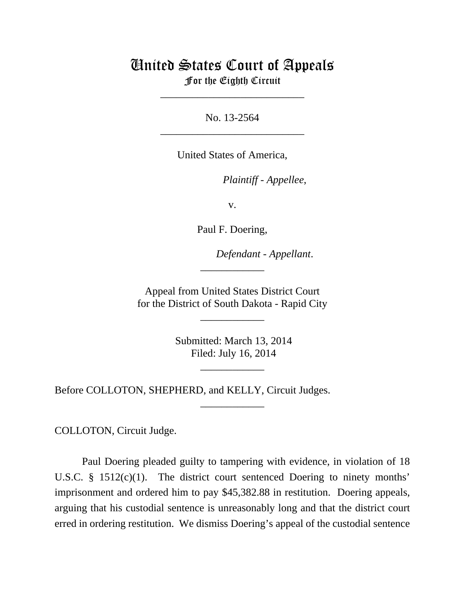## United States Court of Appeals For the Eighth Circuit

\_\_\_\_\_\_\_\_\_\_\_\_\_\_\_\_\_\_\_\_\_\_\_\_\_\_\_

No. 13-2564 \_\_\_\_\_\_\_\_\_\_\_\_\_\_\_\_\_\_\_\_\_\_\_\_\_\_\_

United States of America,

*Plaintiff - Appellee,* 

v.

Paul F. Doering,

lllllllllllllllllllll *Defendant - Appellant*.

 Appeal from United States District Court for the District of South Dakota - Rapid City

\_\_\_\_\_\_\_\_\_\_\_\_

\_\_\_\_\_\_\_\_\_\_\_\_

 Submitted: March 13, 2014 Filed: July 16, 2014

\_\_\_\_\_\_\_\_\_\_\_\_

\_\_\_\_\_\_\_\_\_\_\_\_

Before COLLOTON, SHEPHERD, and KELLY, Circuit Judges.

COLLOTON, Circuit Judge.

Paul Doering pleaded guilty to tampering with evidence, in violation of 18 U.S.C.  $\S$  1512(c)(1). The district court sentenced Doering to ninety months' imprisonment and ordered him to pay \$45,382.88 in restitution. Doering appeals, arguing that his custodial sentence is unreasonably long and that the district court erred in ordering restitution. We dismiss Doering's appeal of the custodial sentence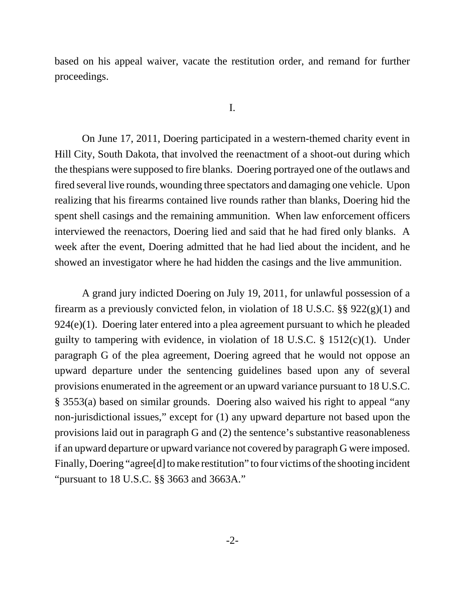based on his appeal waiver, vacate the restitution order, and remand for further proceedings.

## I.

On June 17, 2011, Doering participated in a western-themed charity event in Hill City, South Dakota, that involved the reenactment of a shoot-out during which the thespians were supposed to fire blanks. Doering portrayed one of the outlaws and fired several live rounds, wounding three spectators and damaging one vehicle. Upon realizing that his firearms contained live rounds rather than blanks, Doering hid the spent shell casings and the remaining ammunition. When law enforcement officers interviewed the reenactors, Doering lied and said that he had fired only blanks. A week after the event, Doering admitted that he had lied about the incident, and he showed an investigator where he had hidden the casings and the live ammunition.

A grand jury indicted Doering on July 19, 2011, for unlawful possession of a firearm as a previously convicted felon, in violation of 18 U.S.C. §§ 922(g)(1) and 924(e)(1). Doering later entered into a plea agreement pursuant to which he pleaded guilty to tampering with evidence, in violation of 18 U.S.C. § 1512(c)(1). Under paragraph G of the plea agreement, Doering agreed that he would not oppose an upward departure under the sentencing guidelines based upon any of several provisions enumerated in the agreement or an upward variance pursuant to 18 U.S.C. § 3553(a) based on similar grounds. Doering also waived his right to appeal "any non-jurisdictional issues," except for (1) any upward departure not based upon the provisions laid out in paragraph G and (2) the sentence's substantive reasonableness if an upward departure or upward variance not covered by paragraph G were imposed. Finally, Doering "agree[d] to make restitution" to four victims of the shooting incident "pursuant to 18 U.S.C. §§ 3663 and 3663A."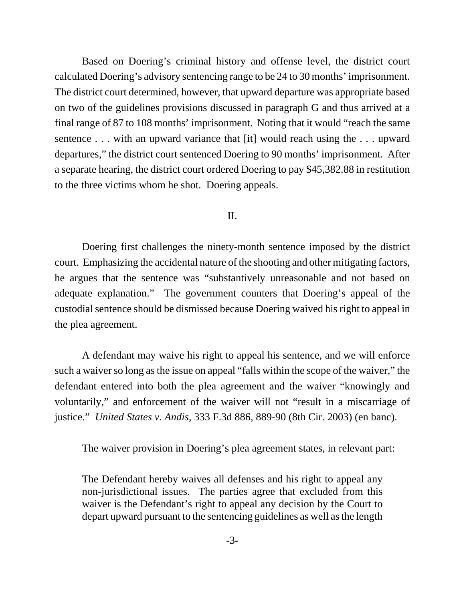Based on Doering's criminal history and offense level, the district court calculated Doering's advisory sentencing range to be 24 to 30 months' imprisonment. The district court determined, however, that upward departure was appropriate based on two of the guidelines provisions discussed in paragraph G and thus arrived at a final range of 87 to 108 months' imprisonment. Noting that it would "reach the same sentence . . . with an upward variance that [it] would reach using the . . . upward departures," the district court sentenced Doering to 90 months' imprisonment. After a separate hearing, the district court ordered Doering to pay \$45,382.88 in restitution to the three victims whom he shot. Doering appeals.

## II.

Doering first challenges the ninety-month sentence imposed by the district court. Emphasizing the accidental nature of the shooting and other mitigating factors, he argues that the sentence was "substantively unreasonable and not based on adequate explanation." The government counters that Doering's appeal of the custodial sentence should be dismissed because Doering waived his right to appeal in the plea agreement.

A defendant may waive his right to appeal his sentence, and we will enforce such a waiver so long as the issue on appeal "falls within the scope of the waiver," the defendant entered into both the plea agreement and the waiver "knowingly and voluntarily," and enforcement of the waiver will not "result in a miscarriage of justice." *United States v. Andis*, 333 F.3d 886, 889-90 (8th Cir. 2003) (en banc).

The waiver provision in Doering's plea agreement states, in relevant part:

The Defendant hereby waives all defenses and his right to appeal any non-jurisdictional issues. The parties agree that excluded from this waiver is the Defendant's right to appeal any decision by the Court to depart upward pursuant to the sentencing guidelines as well as the length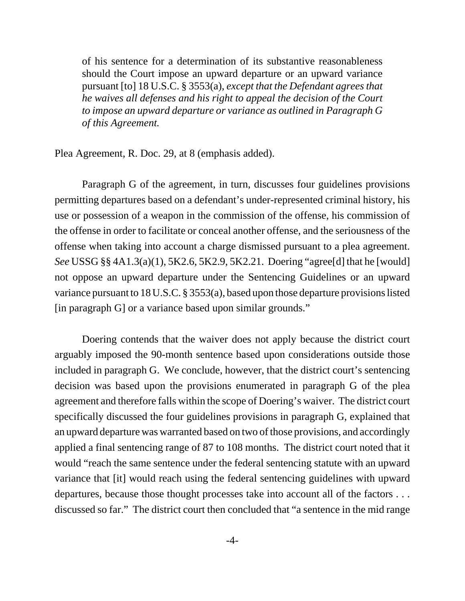of his sentence for a determination of its substantive reasonableness should the Court impose an upward departure or an upward variance pursuant [to] 18 U.S.C. § 3553(a), *except that the Defendant agrees that he waives all defenses and his right to appeal the decision of the Court to impose an upward departure or variance as outlined in Paragraph G of this Agreement.*

Plea Agreement, R. Doc. 29, at 8 (emphasis added).

Paragraph G of the agreement, in turn, discusses four guidelines provisions permitting departures based on a defendant's under-represented criminal history, his use or possession of a weapon in the commission of the offense, his commission of the offense in order to facilitate or conceal another offense, and the seriousness of the offense when taking into account a charge dismissed pursuant to a plea agreement. *See* USSG §§ 4A1.3(a)(1), 5K2.6, 5K2.9, 5K2.21. Doering "agree[d] that he [would] not oppose an upward departure under the Sentencing Guidelines or an upward variance pursuant to 18 U.S.C. § 3553(a), based upon those departure provisions listed [in paragraph G] or a variance based upon similar grounds."

Doering contends that the waiver does not apply because the district court arguably imposed the 90-month sentence based upon considerations outside those included in paragraph G. We conclude, however, that the district court's sentencing decision was based upon the provisions enumerated in paragraph G of the plea agreement and therefore falls within the scope of Doering's waiver. The district court specifically discussed the four guidelines provisions in paragraph G, explained that an upward departure was warranted based on two of those provisions, and accordingly applied a final sentencing range of 87 to 108 months. The district court noted that it would "reach the same sentence under the federal sentencing statute with an upward variance that [it] would reach using the federal sentencing guidelines with upward departures, because those thought processes take into account all of the factors . . . discussed so far." The district court then concluded that "a sentence in the mid range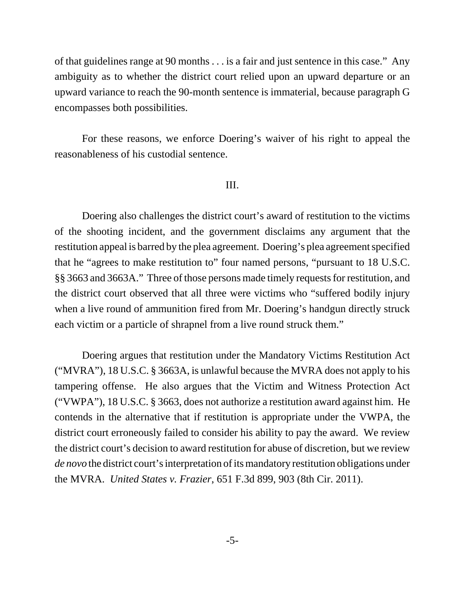of that guidelines range at 90 months . . . is a fair and just sentence in this case." Any ambiguity as to whether the district court relied upon an upward departure or an upward variance to reach the 90-month sentence is immaterial, because paragraph G encompasses both possibilities.

For these reasons, we enforce Doering's waiver of his right to appeal the reasonableness of his custodial sentence.

## III.

Doering also challenges the district court's award of restitution to the victims of the shooting incident, and the government disclaims any argument that the restitution appeal is barred by the plea agreement. Doering's plea agreement specified that he "agrees to make restitution to" four named persons, "pursuant to 18 U.S.C. §§ 3663 and 3663A." Three of those persons made timely requests for restitution, and the district court observed that all three were victims who "suffered bodily injury when a live round of ammunition fired from Mr. Doering's handgun directly struck each victim or a particle of shrapnel from a live round struck them."

Doering argues that restitution under the Mandatory Victims Restitution Act ("MVRA"), 18 U.S.C. § 3663A, is unlawful because the MVRA does not apply to his tampering offense. He also argues that the Victim and Witness Protection Act ("VWPA"), 18 U.S.C. § 3663, does not authorize a restitution award against him. He contends in the alternative that if restitution is appropriate under the VWPA, the district court erroneously failed to consider his ability to pay the award. We review the district court's decision to award restitution for abuse of discretion, but we review *de novo* the district court's interpretation of its mandatory restitution obligations under the MVRA. *United States v. Frazier*, 651 F.3d 899, 903 (8th Cir. 2011).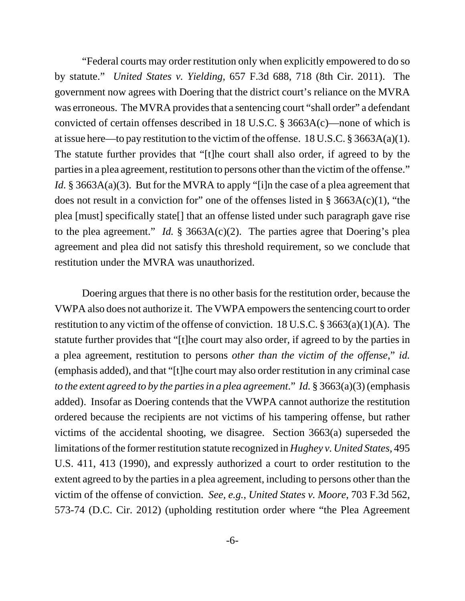"Federal courts may order restitution only when explicitly empowered to do so by statute." *United States v. Yielding*, 657 F.3d 688, 718 (8th Cir. 2011). The government now agrees with Doering that the district court's reliance on the MVRA was erroneous. The MVRA provides that a sentencing court "shall order" a defendant convicted of certain offenses described in 18 U.S.C. § 3663A(c)—none of which is at issue here—to pay restitution to the victim of the offense. 18 U.S.C. § 3663A(a)(1). The statute further provides that "[t]he court shall also order, if agreed to by the parties in a plea agreement, restitution to persons other than the victim of the offense." *Id.* § 3663A(a)(3). But for the MVRA to apply "[i]n the case of a plea agreement that does not result in a conviction for" one of the offenses listed in  $\S$  3663A(c)(1), "the plea [must] specifically state[] that an offense listed under such paragraph gave rise to the plea agreement." *Id.* § 3663A(c)(2). The parties agree that Doering's plea agreement and plea did not satisfy this threshold requirement, so we conclude that restitution under the MVRA was unauthorized.

Doering argues that there is no other basis for the restitution order, because the VWPA also does not authorize it. The VWPA empowers the sentencing court to order restitution to any victim of the offense of conviction. 18 U.S.C.  $\S 3663(a)(1)(A)$ . The statute further provides that "[t]he court may also order, if agreed to by the parties in a plea agreement, restitution to persons *other than the victim of the offense*," *id.* (emphasis added), and that "[t]he court may also order restitution in any criminal case *to the extent agreed to by the parties in a plea agreement*." *Id.* § 3663(a)(3) (emphasis added). Insofar as Doering contends that the VWPA cannot authorize the restitution ordered because the recipients are not victims of his tampering offense, but rather victims of the accidental shooting, we disagree. Section 3663(a) superseded the limitations of the former restitution statute recognized in *Hughey v. United States*, 495 U.S. 411, 413 (1990), and expressly authorized a court to order restitution to the extent agreed to by the parties in a plea agreement, including to persons other than the victim of the offense of conviction. *See, e.g.*, *United States v. Moore*, 703 F.3d 562, 573-74 (D.C. Cir. 2012) (upholding restitution order where "the Plea Agreement